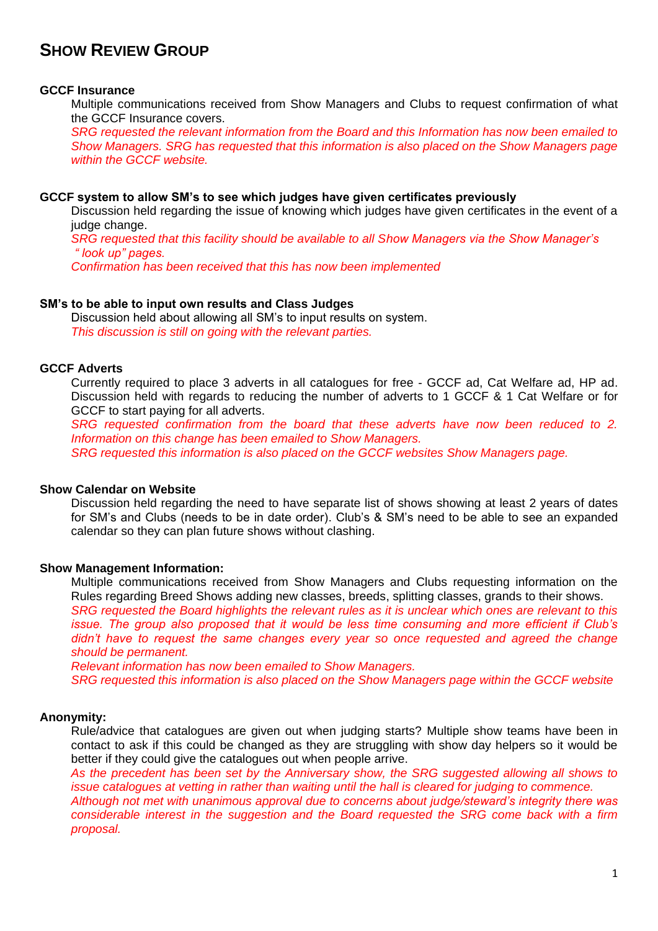# **SHOW REVIEW GROUP**

#### **GCCF Insurance**

Multiple communications received from Show Managers and Clubs to request confirmation of what the GCCF Insurance covers.

*SRG requested the relevant information from the Board and this Information has now been emailed to Show Managers. SRG has requested that this information is also placed on the Show Managers page within the GCCF website.*

#### **GCCF system to allow SM's to see which judges have given certificates previously**

Discussion held regarding the issue of knowing which judges have given certificates in the event of a judge change.

*SRG requested that this facility should be available to all Show Managers via the Show Manager's " look up" pages.*

*Confirmation has been received that this has now been implemented*

#### **SM's to be able to input own results and Class Judges**

Discussion held about allowing all SM's to input results on system. *This discussion is still on going with the relevant parties.*

# **GCCF Adverts**

Currently required to place 3 adverts in all catalogues for free - GCCF ad, Cat Welfare ad, HP ad. Discussion held with regards to reducing the number of adverts to 1 GCCF & 1 Cat Welfare or for GCCF to start paying for all adverts.

*SRG requested confirmation from the board that these adverts have now been reduced to 2. Information on this change has been emailed to Show Managers.*

*SRG requested this information is also placed on the GCCF websites Show Managers page.*

#### **Show Calendar on Website**

Discussion held regarding the need to have separate list of shows showing at least 2 years of dates for SM's and Clubs (needs to be in date order). Club's & SM's need to be able to see an expanded calendar so they can plan future shows without clashing.

#### **Show Management Information:**

Multiple communications received from Show Managers and Clubs requesting information on the Rules regarding Breed Shows adding new classes, breeds, splitting classes, grands to their shows. *SRG requested the Board highlights the relevant rules as it is unclear which ones are relevant to this issue. The group also proposed that it would be less time consuming and more efficient if Club's* 

didn't have to request the same changes every year so once requested and agreed the change *should be permanent.*

*Relevant information has now been emailed to Show Managers. SRG requested this information is also placed on the Show Managers page within the GCCF website* 

#### **Anonymity:**

Rule/advice that catalogues are given out when judging starts? Multiple show teams have been in contact to ask if this could be changed as they are struggling with show day helpers so it would be better if they could give the catalogues out when people arrive.

*As the precedent has been set by the Anniversary show, the SRG suggested allowing all shows to issue catalogues at vetting in rather than waiting until the hall is cleared for judging to commence. Although not met with unanimous approval due to concerns about judge/steward's integrity there was considerable interest in the suggestion and the Board requested the SRG come back with a firm proposal.*